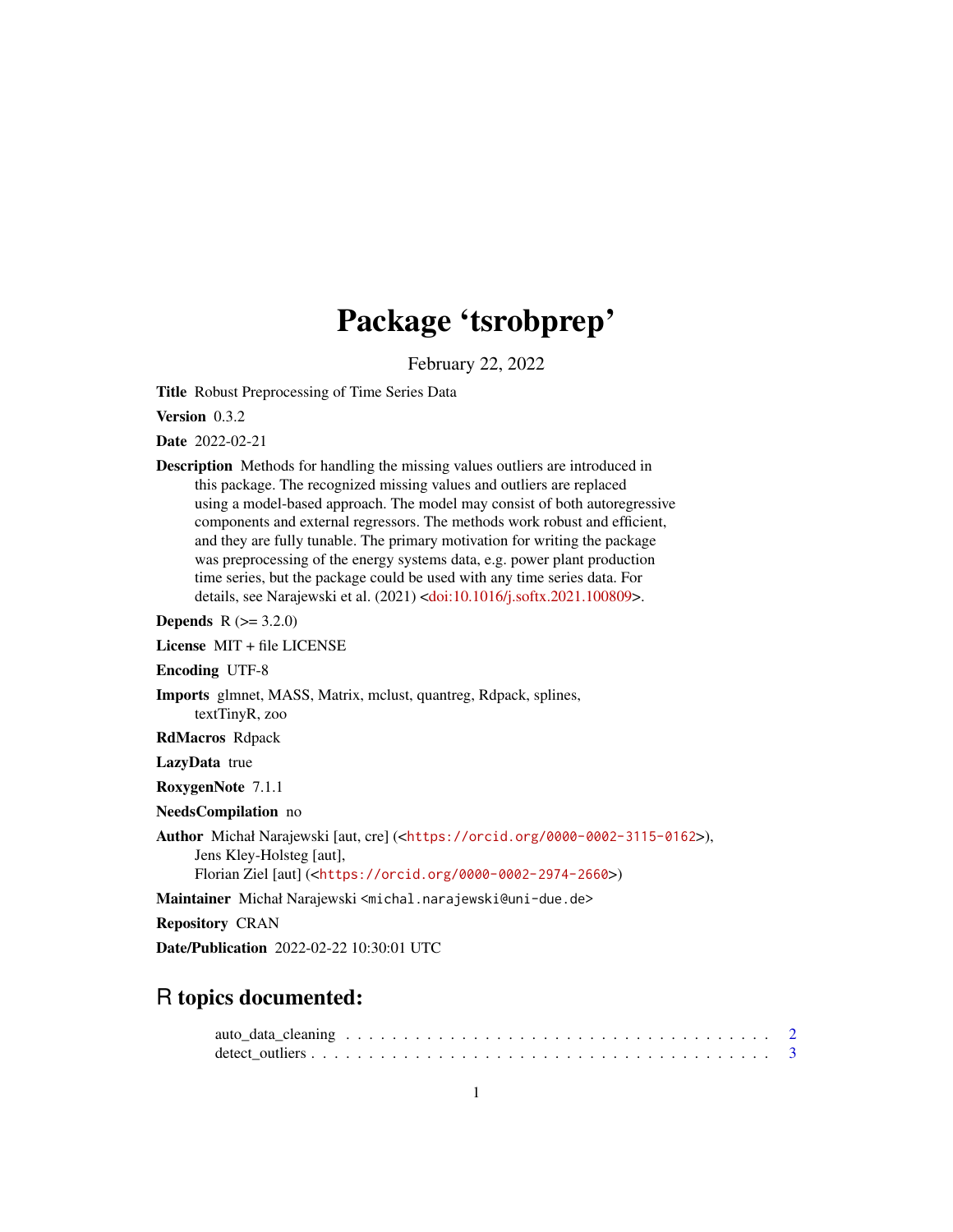# Package 'tsrobprep'

February 22, 2022

<span id="page-0-0"></span>Title Robust Preprocessing of Time Series Data

Version 0.3.2

Date 2022-02-21

Description Methods for handling the missing values outliers are introduced in this package. The recognized missing values and outliers are replaced using a model-based approach. The model may consist of both autoregressive components and external regressors. The methods work robust and efficient, and they are fully tunable. The primary motivation for writing the package was preprocessing of the energy systems data, e.g. power plant production time series, but the package could be used with any time series data. For details, see Narajewski et al. (2021) [<doi:10.1016/j.softx.2021.100809>](https://doi.org/10.1016/j.softx.2021.100809).

**Depends**  $R (= 3.2.0)$ 

License MIT + file LICENSE

Encoding UTF-8

Imports glmnet, MASS, Matrix, mclust, quantreg, Rdpack, splines, textTinyR, zoo

RdMacros Rdpack

LazyData true

RoxygenNote 7.1.1

NeedsCompilation no

Author Michał Narajewski [aut, cre] (<<https://orcid.org/0000-0002-3115-0162>>), Jens Kley-Holsteg [aut], Florian Ziel [aut] (<<https://orcid.org/0000-0002-2974-2660>>)

Maintainer Michał Narajewski <michal.narajewski@uni-due.de>

Repository CRAN

Date/Publication 2022-02-22 10:30:01 UTC

# R topics documented: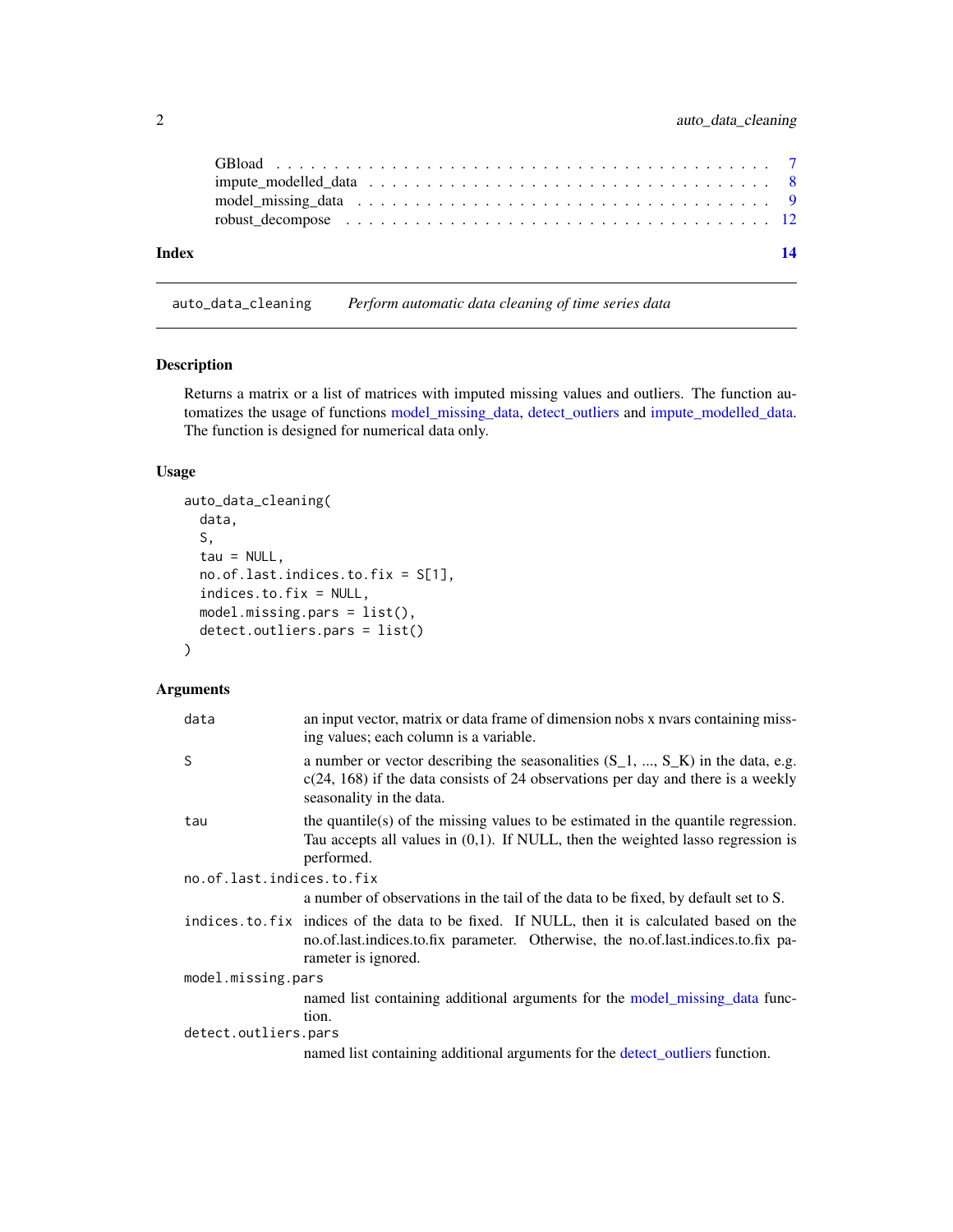<span id="page-1-0"></span>

| Index | 14 |
|-------|----|

<span id="page-1-1"></span>auto\_data\_cleaning *Perform automatic data cleaning of time series data*

#### Description

Returns a matrix or a list of matrices with imputed missing values and outliers. The function automatizes the usage of functions [model\\_missing\\_data,](#page-8-1) [detect\\_outliers](#page-2-1) and [impute\\_modelled\\_data.](#page-7-1) The function is designed for numerical data only.

# Usage

```
auto_data_cleaning(
  data,
  S,
  tau = NULL,
  no.of.last.indices.to.fix = S[1],
  indices.to.fix = NULL,
 model.missing.pars = list(),
  detect.outliers.pars = list()
)
```
#### Arguments

| data                      | an input vector, matrix or data frame of dimension nobs x nvars containing miss-<br>ing values; each column is a variable.                                                                              |  |  |  |  |  |
|---------------------------|---------------------------------------------------------------------------------------------------------------------------------------------------------------------------------------------------------|--|--|--|--|--|
| S                         | a number or vector describing the seasonalities $(S_1, , S_K)$ in the data, e.g.<br>$c(24, 168)$ if the data consists of 24 observations per day and there is a weekly<br>seasonality in the data.      |  |  |  |  |  |
| tau                       | the quantile(s) of the missing values to be estimated in the quantile regression.<br>Tau accepts all values in $(0,1)$ . If NULL, then the weighted lasso regression is<br>performed.                   |  |  |  |  |  |
| no.of.last.indices.to.fix |                                                                                                                                                                                                         |  |  |  |  |  |
|                           | a number of observations in the tail of the data to be fixed, by default set to S.                                                                                                                      |  |  |  |  |  |
|                           | indices to fix indices of the data to be fixed. If NULL, then it is calculated based on the<br>no.of.last.indices.to.fix parameter. Otherwise, the no.of.last.indices.to.fix pa-<br>rameter is ignored. |  |  |  |  |  |
| model.missing.pars        |                                                                                                                                                                                                         |  |  |  |  |  |
| detect.outliers.pars      | named list containing additional arguments for the model_missing_data func-<br>tion.                                                                                                                    |  |  |  |  |  |
|                           | named list containing additional arguments for the detect_outliers function.                                                                                                                            |  |  |  |  |  |
|                           |                                                                                                                                                                                                         |  |  |  |  |  |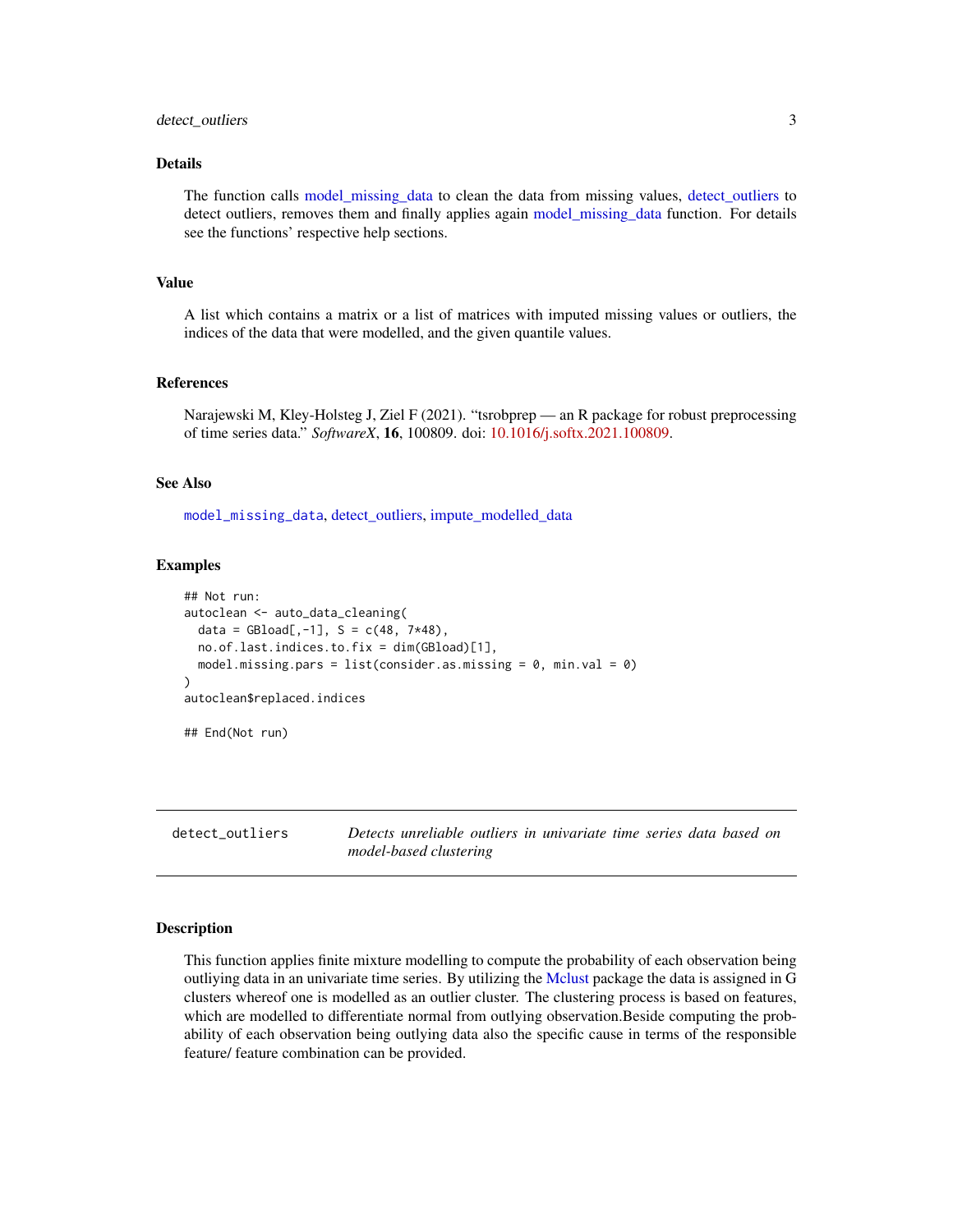#### <span id="page-2-0"></span>detect\_outliers 3

#### Details

The function calls [model\\_missing\\_data](#page-8-1) to clean the data from missing values, [detect\\_outliers](#page-2-1) to detect outliers, removes them and finally applies again [model\\_missing\\_data](#page-8-1) function. For details see the functions' respective help sections.

#### Value

A list which contains a matrix or a list of matrices with imputed missing values or outliers, the indices of the data that were modelled, and the given quantile values.

#### References

Narajewski M, Kley-Holsteg J, Ziel F (2021). "tsrobprep — an R package for robust preprocessing of time series data." *SoftwareX*, 16, 100809. doi: [10.1016/j.softx.2021.100809.](https://doi.org/10.1016/j.softx.2021.100809)

#### See Also

[model\\_missing\\_data](#page-8-1), [detect\\_outliers,](#page-2-1) [impute\\_modelled\\_data](#page-7-1)

#### Examples

```
## Not run:
autoclean <- auto_data_cleaning(
 data = GBload[, -1], S = c(48, 7*48),no.of.last.indices.to.fix = dim(GBload)[1],
 model.missing.pars = list(consider.as.missing = 0, min.val = 0)
)
autoclean$replaced.indices
## End(Not run)
```
<span id="page-2-1"></span>detect\_outliers *Detects unreliable outliers in univariate time series data based on model-based clustering*

#### Description

This function applies finite mixture modelling to compute the probability of each observation being outliying data in an univariate time series. By utilizing the [Mclust](#page-0-0) package the data is assigned in G clusters whereof one is modelled as an outlier cluster. The clustering process is based on features, which are modelled to differentiate normal from outlying observation.Beside computing the probability of each observation being outlying data also the specific cause in terms of the responsible feature/ feature combination can be provided.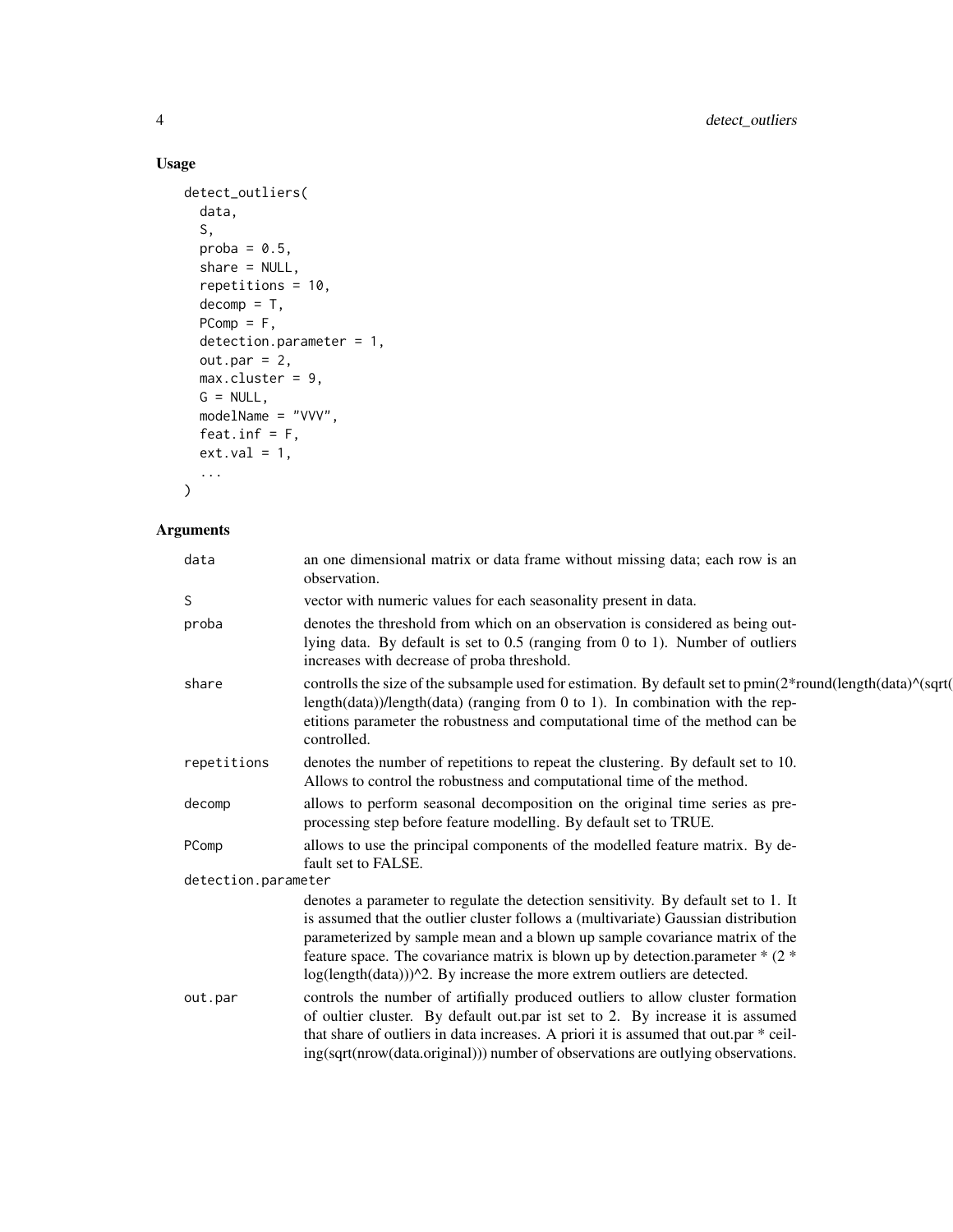# Usage

```
detect_outliers(
 data,
 S,
 proba = 0.5,
 share = NULL,
 repetitions = 10,
 decomp = T,PComp = F,detection.parameter = 1,
 out.par = 2,
 max.cluster = 9,G = NULL,modelName = "VVV",
 feat.inf = F,
 ext.val = 1,...
\mathcal{L}
```
# Arguments

| data                | an one dimensional matrix or data frame without missing data; each row is an<br>observation.                                                                                                                                                                                                                                                                                                                              |
|---------------------|---------------------------------------------------------------------------------------------------------------------------------------------------------------------------------------------------------------------------------------------------------------------------------------------------------------------------------------------------------------------------------------------------------------------------|
| S                   | vector with numeric values for each seasonality present in data.                                                                                                                                                                                                                                                                                                                                                          |
| proba               | denotes the threshold from which on an observation is considered as being out-<br>lying data. By default is set to $0.5$ (ranging from 0 to 1). Number of outliers<br>increases with decrease of proba threshold.                                                                                                                                                                                                         |
| share               | controlls the size of the subsample used for estimation. By default set to $pmin(2*round(length(data)^{N(sqrt)})$<br>length $(data)$ )/length $(data)$ (ranging from 0 to 1). In combination with the rep-<br>etitions parameter the robustness and computational time of the method can be<br>controlled.                                                                                                                |
| repetitions         | denotes the number of repetitions to repeat the clustering. By default set to 10.<br>Allows to control the robustness and computational time of the method.                                                                                                                                                                                                                                                               |
| decomp              | allows to perform seasonal decomposition on the original time series as pre-<br>processing step before feature modelling. By default set to TRUE.                                                                                                                                                                                                                                                                         |
| PComp               | allows to use the principal components of the modelled feature matrix. By de-<br>fault set to FALSE.                                                                                                                                                                                                                                                                                                                      |
| detection.parameter |                                                                                                                                                                                                                                                                                                                                                                                                                           |
|                     | denotes a parameter to regulate the detection sensitivity. By default set to 1. It<br>is assumed that the outlier cluster follows a (multivariate) Gaussian distribution<br>parameterized by sample mean and a blown up sample covariance matrix of the<br>feature space. The covariance matrix is blown up by detection.parameter $*(2*)$<br>$log(length(data)))^2$ . By increase the more extrem outliers are detected. |
| out.par             | controls the number of artifially produced outliers to allow cluster formation<br>of oultier cluster. By default out.par ist set to 2. By increase it is assumed<br>that share of outliers in data increases. A priori it is assumed that out.par * ceil-<br>ing(sqrt(nrow(data.original))) number of observations are outlying observations.                                                                             |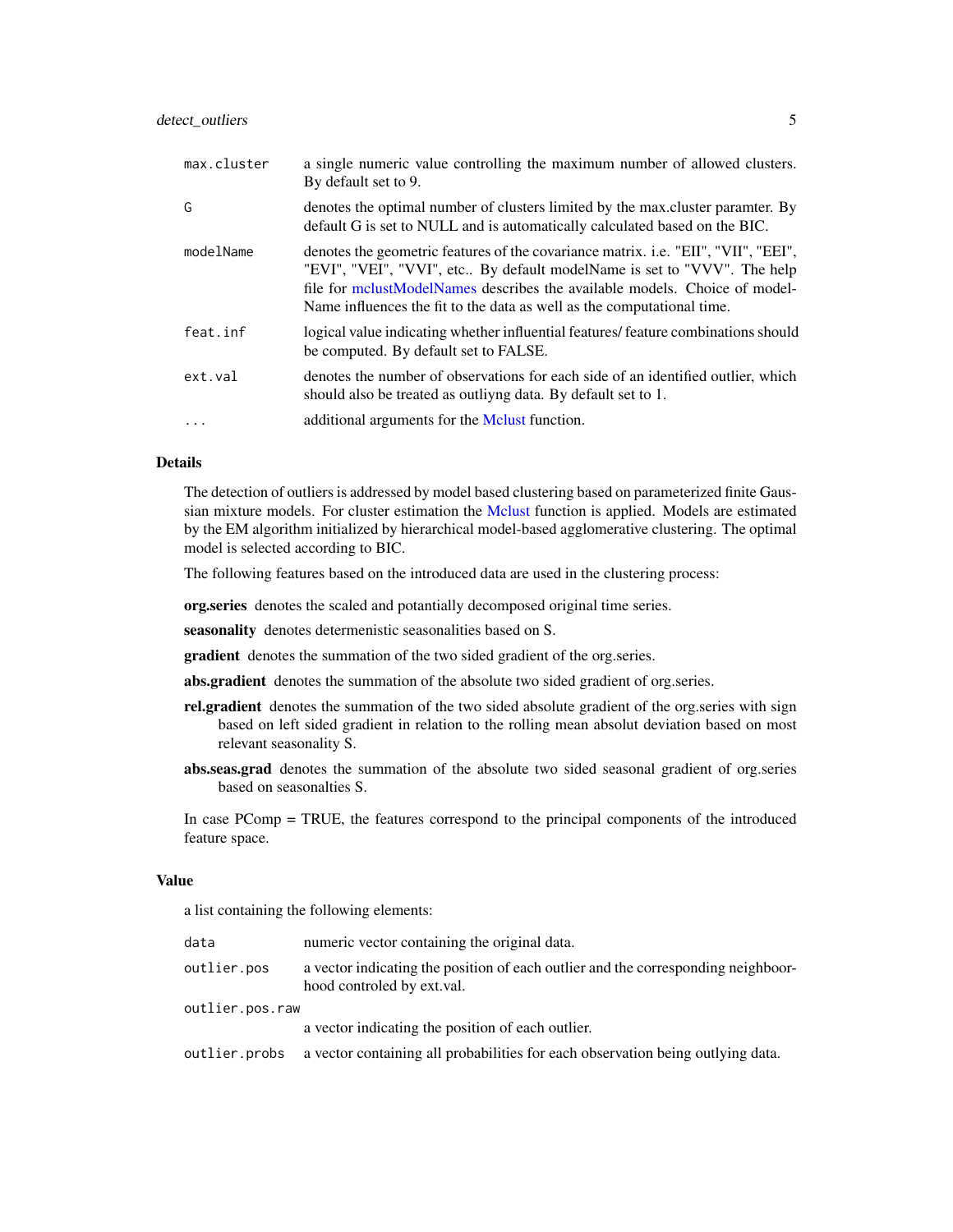# <span id="page-4-0"></span>detect\_outliers 5

| max.cluster | a single numeric value controlling the maximum number of allowed clusters.<br>By default set to 9.                                                                                                                                                                                                                           |
|-------------|------------------------------------------------------------------------------------------------------------------------------------------------------------------------------------------------------------------------------------------------------------------------------------------------------------------------------|
| G           | denotes the optimal number of clusters limited by the max. cluster paramter. By<br>default G is set to NULL and is automatically calculated based on the BIC.                                                                                                                                                                |
| modelName   | denotes the geometric features of the covariance matrix. <i>i.e.</i> "EII", "VII", "EEI",<br>"EVI", "VEI", "VVI", etc By default modelName is set to "VVV". The help<br>file for mclustModelNames describes the available models. Choice of model-<br>Name influences the fit to the data as well as the computational time. |
| feat.inf    | logical value indicating whether influential features/ feature combinations should<br>be computed. By default set to FALSE.                                                                                                                                                                                                  |
| ext.val     | denotes the number of observations for each side of an identified outlier, which<br>should also be treated as outliving data. By default set to 1.                                                                                                                                                                           |
| .           | additional arguments for the Melust function.                                                                                                                                                                                                                                                                                |

#### Details

The detection of outliers is addressed by model based clustering based on parameterized finite Gaussian mixture models. For cluster estimation the [Mclust](#page-0-0) function is applied. Models are estimated by the EM algorithm initialized by hierarchical model-based agglomerative clustering. The optimal model is selected according to BIC.

The following features based on the introduced data are used in the clustering process:

org.series denotes the scaled and potantially decomposed original time series.

seasonality denotes determenistic seasonalities based on S.

gradient denotes the summation of the two sided gradient of the org.series.

abs.gradient denotes the summation of the absolute two sided gradient of org.series.

- rel.gradient denotes the summation of the two sided absolute gradient of the org.series with sign based on left sided gradient in relation to the rolling mean absolut deviation based on most relevant seasonality S.
- abs.seas.grad denotes the summation of the absolute two sided seasonal gradient of org.series based on seasonalties S.

In case PComp = TRUE, the features correspond to the principal components of the introduced feature space.

#### Value

a list containing the following elements:

| data            | numeric vector containing the original data.                                                                    |  |  |  |  |
|-----------------|-----------------------------------------------------------------------------------------------------------------|--|--|--|--|
| outlier.pos     | a vector indicating the position of each outlier and the corresponding neighboor-<br>hood controled by ext.val. |  |  |  |  |
| outlier.pos.raw |                                                                                                                 |  |  |  |  |
|                 | a vector indicating the position of each outlier.                                                               |  |  |  |  |
| outlier.probs   | a vector containing all probabilities for each observation being outlying data.                                 |  |  |  |  |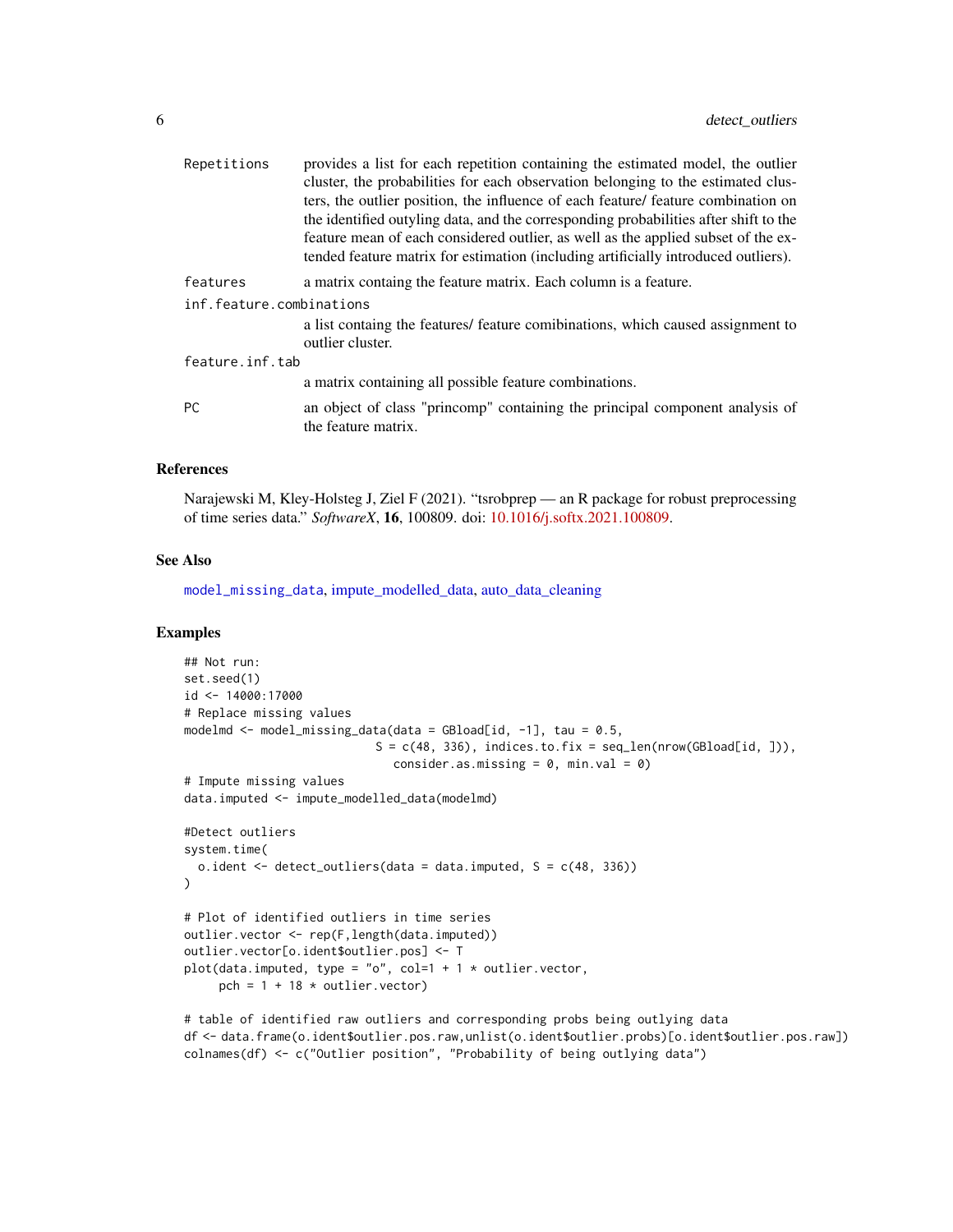<span id="page-5-0"></span>

| Repetitions              | provides a list for each repetition containing the estimated model, the outlier                     |
|--------------------------|-----------------------------------------------------------------------------------------------------|
|                          | cluster, the probabilities for each observation belonging to the estimated clus-                    |
|                          | ters, the outlier position, the influence of each feature/ feature combination on                   |
|                          | the identified outyling data, and the corresponding probabilities after shift to the                |
|                          | feature mean of each considered outlier, as well as the applied subset of the ex-                   |
|                          | tended feature matrix for estimation (including artificially introduced outliers).                  |
| features                 | a matrix containg the feature matrix. Each column is a feature.                                     |
| inf.feature.combinations |                                                                                                     |
|                          | a list containg the features/ feature comibinations, which caused assignment to<br>outlier cluster. |
| feature.inf.tab          |                                                                                                     |
|                          | a matrix containing all possible feature combinations.                                              |
| <b>PC</b>                | an object of class "princomp" containing the principal component analysis of<br>the feature matrix. |
|                          |                                                                                                     |

#### References

Narajewski M, Kley-Holsteg J, Ziel F (2021). "tsrobprep — an R package for robust preprocessing of time series data." *SoftwareX*, 16, 100809. doi: [10.1016/j.softx.2021.100809.](https://doi.org/10.1016/j.softx.2021.100809)

# See Also

[model\\_missing\\_data](#page-8-1), [impute\\_modelled\\_data,](#page-7-1) [auto\\_data\\_cleaning](#page-1-1)

# Examples

```
## Not run:
set.seed(1)
id <- 14000:17000
# Replace missing values
modelmd <- model_missing_data(data = GBload[id, -1], tau = 0.5,
                            S = c(48, 336), indices.to.fix = seq_len(nrow(GBload[id, ])),
                              consider.as.missing = 0, min.val = 0)
# Impute missing values
data.imputed <- impute_modelled_data(modelmd)
#Detect outliers
system.time(
  o.ident \leq detect_outliers(data = data.imputed, S = c(48, 336))
)
# Plot of identified outliers in time series
outlier.vector <- rep(F,length(data.imputed))
outlier.vector[o.ident$outlier.pos] <- T
plot(data.imputed, type = "o", col=1 + 1 * outlier.vector,
     pch = 1 + 18 * outlier. vector)
```
# table of identified raw outliers and corresponding probs being outlying data df <- data.frame(o.ident\$outlier.pos.raw,unlist(o.ident\$outlier.probs)[o.ident\$outlier.pos.raw]) colnames(df) <- c("Outlier position", "Probability of being outlying data")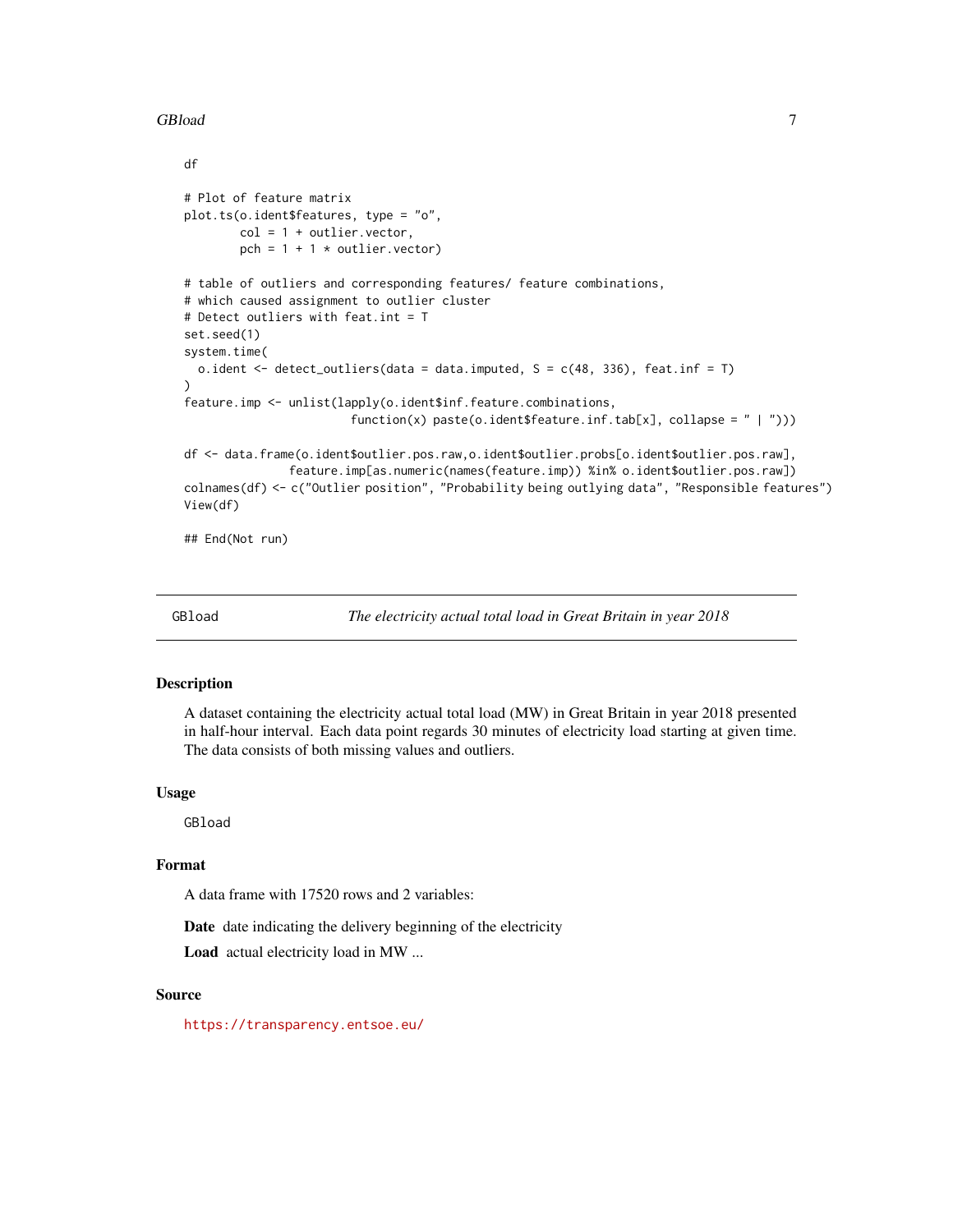#### <span id="page-6-0"></span>GBload 7

```
df
# Plot of feature matrix
plot.ts(o.ident$features, type = "o",
        col = 1 + outlier.vector,pch = 1 + 1 * outlier. vector)
# table of outliers and corresponding features/ feature combinations,
# which caused assignment to outlier cluster
# Detect outliers with feat.int = T
set.seed(1)
system.time(
 o.ident \leq detect_outliers(data = data.imputed, S = c(48, 336), feat.inf = T)
\lambdafeature.imp <- unlist(lapply(o.ident$inf.feature.combinations,
                        function(x) paste(o.ident$feature.inf.tab[x], collapse = " | ")))
df <- data.frame(o.ident$outlier.pos.raw,o.ident$outlier.probs[o.ident$outlier.pos.raw],
               feature.imp[as.numeric(names(feature.imp)) %in% o.ident$outlier.pos.raw])
colnames(df) <- c("Outlier position", "Probability being outlying data", "Responsible features")
View(df)
## End(Not run)
```
GBload *The electricity actual total load in Great Britain in year 2018*

#### **Description**

A dataset containing the electricity actual total load (MW) in Great Britain in year 2018 presented in half-hour interval. Each data point regards 30 minutes of electricity load starting at given time. The data consists of both missing values and outliers.

#### Usage

GBload

# Format

A data frame with 17520 rows and 2 variables:

Date date indicating the delivery beginning of the electricity

Load actual electricity load in MW ...

# Source

<https://transparency.entsoe.eu/>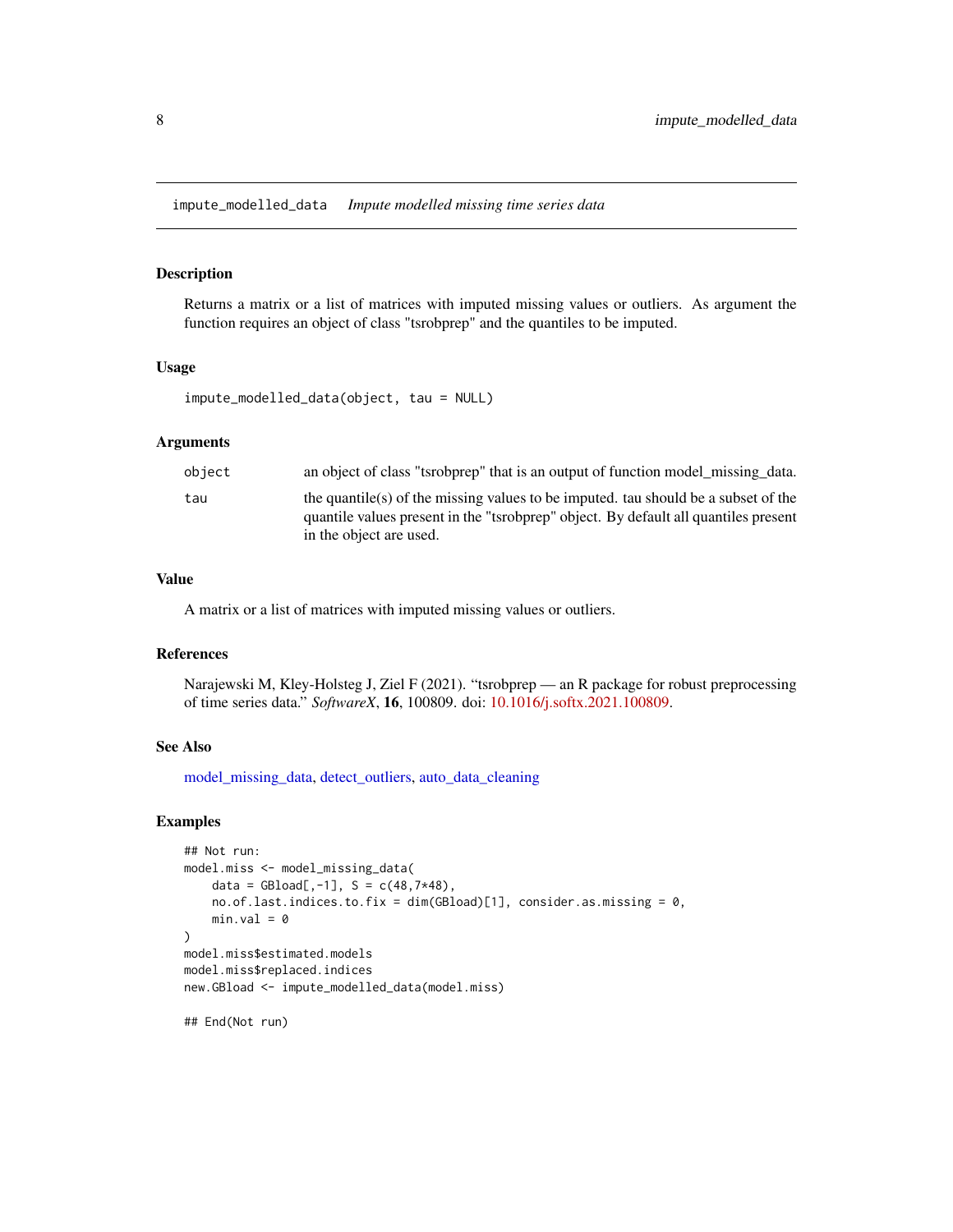<span id="page-7-1"></span><span id="page-7-0"></span>impute\_modelled\_data *Impute modelled missing time series data*

# Description

Returns a matrix or a list of matrices with imputed missing values or outliers. As argument the function requires an object of class "tsrobprep" and the quantiles to be imputed.

# Usage

```
impute_modelled_data(object, tau = NULL)
```
#### Arguments

| object | an object of class "tsrobprep" that is an output of function model missing data.    |
|--------|-------------------------------------------------------------------------------------|
| tau    | the quantile(s) of the missing values to be imputed, tau should be a subset of the  |
|        | quantile values present in the "tsrobprep" object. By default all quantiles present |
|        | in the object are used.                                                             |

#### Value

A matrix or a list of matrices with imputed missing values or outliers.

# References

Narajewski M, Kley-Holsteg J, Ziel F (2021). "tsrobprep — an R package for robust preprocessing of time series data." *SoftwareX*, 16, 100809. doi: [10.1016/j.softx.2021.100809.](https://doi.org/10.1016/j.softx.2021.100809)

#### See Also

[model\\_missing\\_data,](#page-8-1) [detect\\_outliers,](#page-2-1) [auto\\_data\\_cleaning](#page-1-1)

# Examples

```
## Not run:
model.miss <- model_missing_data(
   data = GBload[, -1], S = c(48, 7*48),no.of.last.indices.to.fix = dim(GBload)[1], consider.as.missing = 0,
   min.val = 0)
model.miss$estimated.models
model.miss$replaced.indices
new.GBload <- impute_modelled_data(model.miss)
```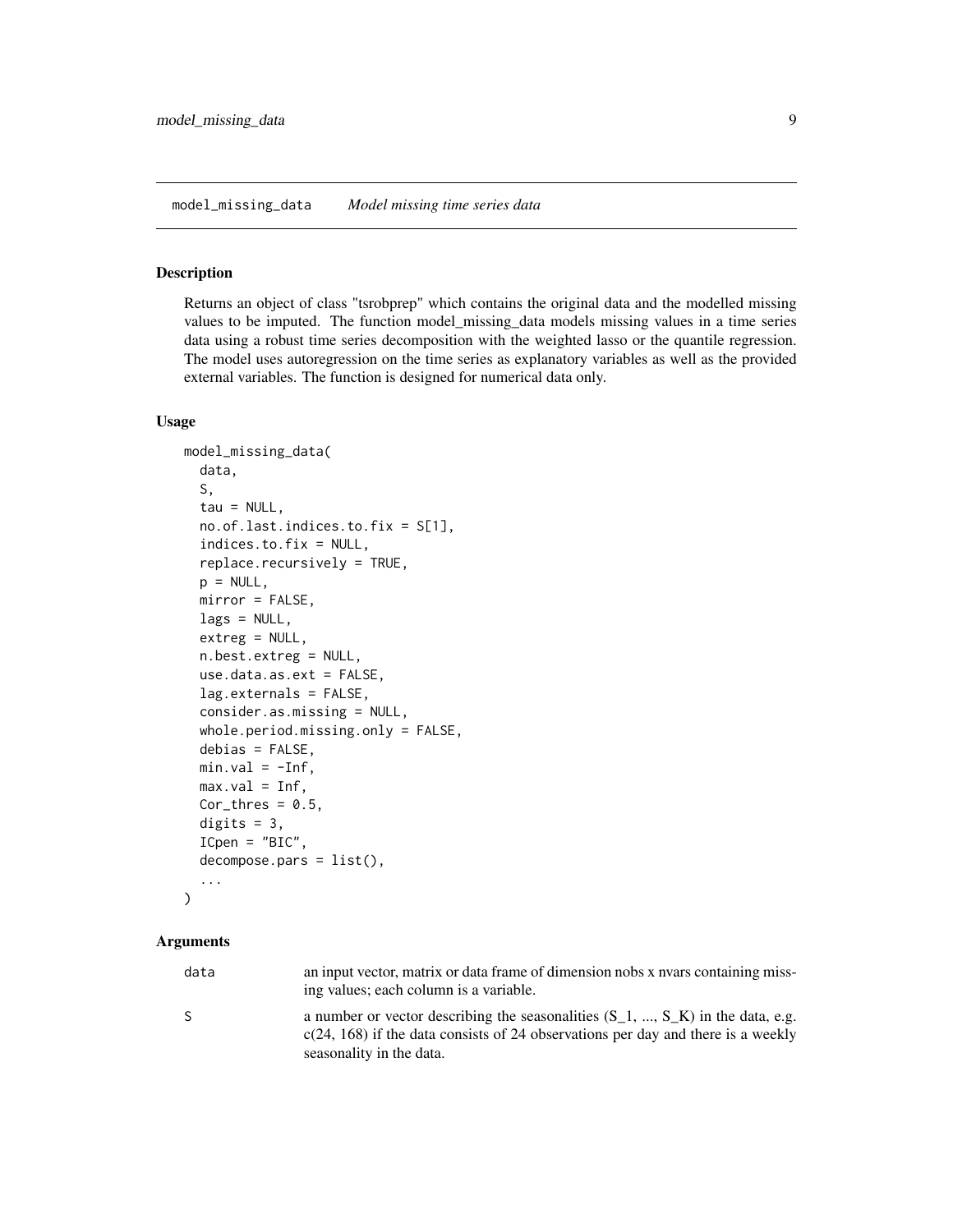#### <span id="page-8-1"></span><span id="page-8-0"></span>Description

Returns an object of class "tsrobprep" which contains the original data and the modelled missing values to be imputed. The function model\_missing\_data models missing values in a time series data using a robust time series decomposition with the weighted lasso or the quantile regression. The model uses autoregression on the time series as explanatory variables as well as the provided external variables. The function is designed for numerical data only.

#### Usage

```
model_missing_data(
  data,
  S,
  tau = NULL,no.of.last.indices.to.fix = S[1],
  indices.to.fix = NULL,
  replace.recursively = TRUE,
  p = NULL,mirror = FALSE,
  lags = NULL,extreg = NULL,
  n.best.extreg = NULL,
  use.data.as.ext = FALSE,
  lag.externals = FALSE,
  consider.as.missing = NULL,
  whole.period.missing.only = FALSE,
  debias = FALSE,
 min.val = -Inf,max.val = Inf,Cor_{thres} = 0.5,
  digits = 3,
  ICpen = "BIC",decompose.pars = list(),
  ...
)
```
# Arguments

| data | an input vector, matrix or data frame of dimension nobs x nyars containing miss-<br>ing values; each column is a variable.                                                                         |
|------|----------------------------------------------------------------------------------------------------------------------------------------------------------------------------------------------------|
|      | a number or vector describing the seasonalities $(S_1, , S_K)$ in the data, e.g.<br>$c(24, 168)$ if the data consists of 24 observations per day and there is a weekly<br>seasonality in the data. |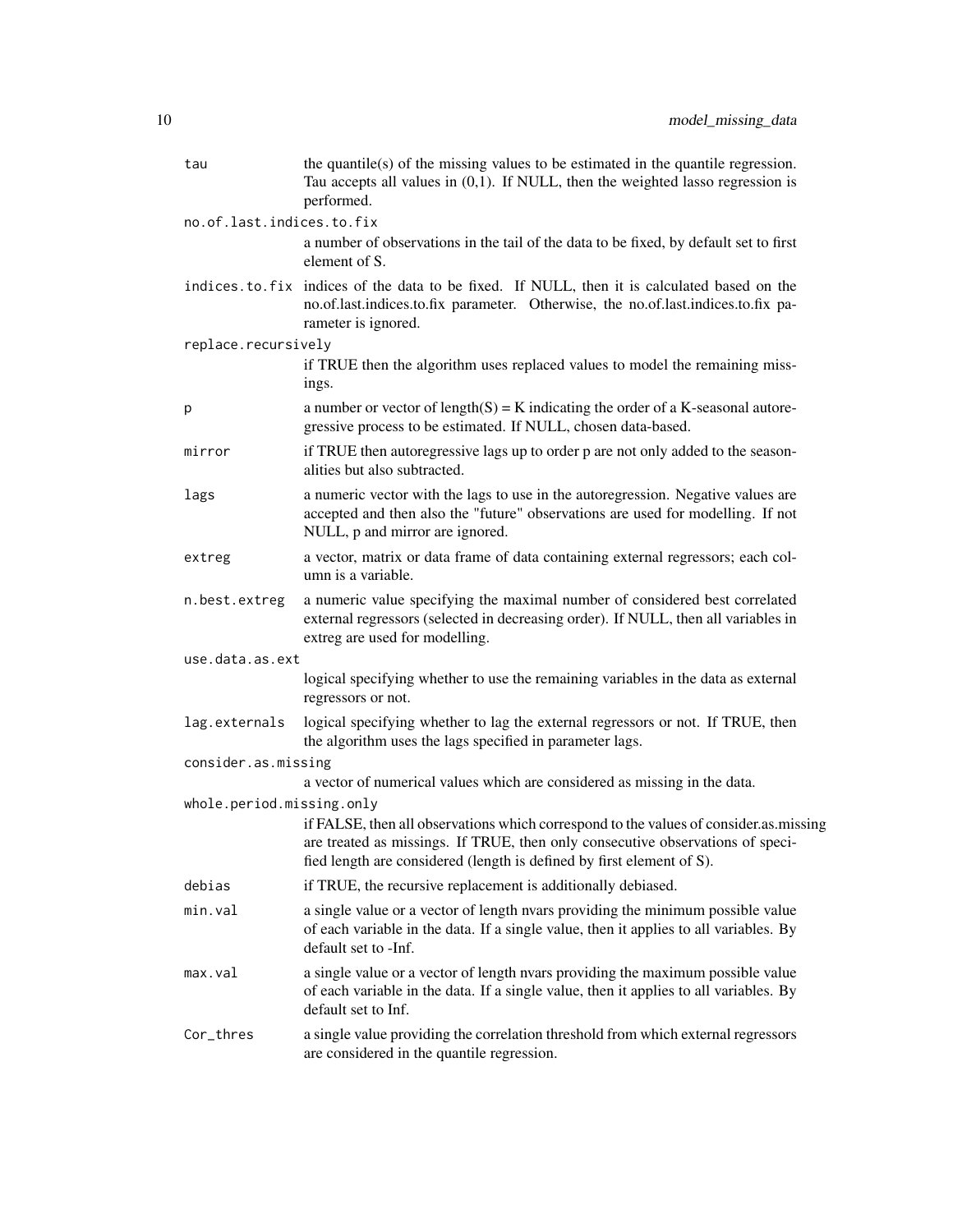| tau                       | the quantile(s) of the missing values to be estimated in the quantile regression.<br>Tau accepts all values in $(0,1)$ . If NULL, then the weighted lasso regression is<br>performed.                                                            |
|---------------------------|--------------------------------------------------------------------------------------------------------------------------------------------------------------------------------------------------------------------------------------------------|
| no.of.last.indices.to.fix |                                                                                                                                                                                                                                                  |
|                           | a number of observations in the tail of the data to be fixed, by default set to first<br>element of S.                                                                                                                                           |
|                           | indices. to. fix indices of the data to be fixed. If NULL, then it is calculated based on the<br>no.of.last.indices.to.fix parameter. Otherwise, the no.of.last.indices.to.fix pa-<br>rameter is ignored.                                        |
| replace.recursively       |                                                                                                                                                                                                                                                  |
|                           | if TRUE then the algorithm uses replaced values to model the remaining miss-<br>ings.                                                                                                                                                            |
| p                         | a number or vector of $length(S) = K$ indicating the order of a K-seasonal autore-<br>gressive process to be estimated. If NULL, chosen data-based.                                                                                              |
| mirror                    | if TRUE then autoregressive lags up to order p are not only added to the season-<br>alities but also subtracted.                                                                                                                                 |
| lags                      | a numeric vector with the lags to use in the autoregression. Negative values are<br>accepted and then also the "future" observations are used for modelling. If not<br>NULL, p and mirror are ignored.                                           |
| extreg                    | a vector, matrix or data frame of data containing external regressors; each col-<br>umn is a variable.                                                                                                                                           |
| n.best.extreg             | a numeric value specifying the maximal number of considered best correlated<br>external regressors (selected in decreasing order). If NULL, then all variables in<br>extreg are used for modelling.                                              |
| use.data.as.ext           |                                                                                                                                                                                                                                                  |
|                           | logical specifying whether to use the remaining variables in the data as external<br>regressors or not.                                                                                                                                          |
| lag.externals             | logical specifying whether to lag the external regressors or not. If TRUE, then<br>the algorithm uses the lags specified in parameter lags.                                                                                                      |
| consider.as.missing       |                                                                                                                                                                                                                                                  |
|                           | a vector of numerical values which are considered as missing in the data.                                                                                                                                                                        |
| whole.period.missing.only |                                                                                                                                                                                                                                                  |
|                           | if FALSE, then all observations which correspond to the values of consider.as.missing<br>are treated as missings. If TRUE, then only consecutive observations of speci-<br>fied length are considered (length is defined by first element of S). |
| debias                    | if TRUE, the recursive replacement is additionally debiased.                                                                                                                                                                                     |
| min.val                   | a single value or a vector of length nvars providing the minimum possible value<br>of each variable in the data. If a single value, then it applies to all variables. By<br>default set to -Inf.                                                 |
| max.val                   | a single value or a vector of length nvars providing the maximum possible value<br>of each variable in the data. If a single value, then it applies to all variables. By<br>default set to Inf.                                                  |
| Cor_thres                 | a single value providing the correlation threshold from which external regressors<br>are considered in the quantile regression.                                                                                                                  |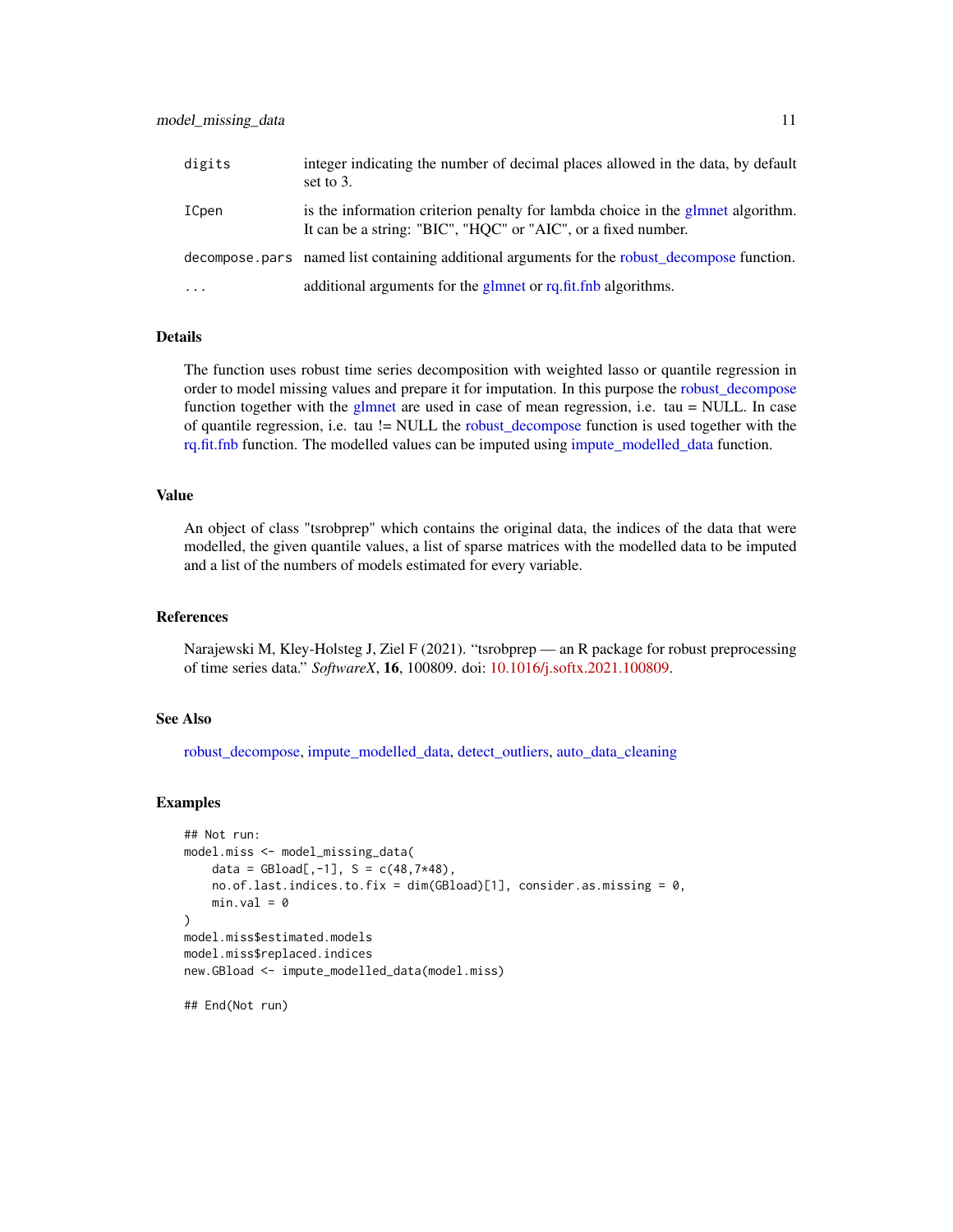<span id="page-10-0"></span>

| digits   | integer indicating the number of decimal places allowed in the data, by default<br>set to $3$ .                                                  |
|----------|--------------------------------------------------------------------------------------------------------------------------------------------------|
| ICpen    | is the information criterion penalty for lambda choice in the glmnet algorithm.<br>It can be a string: "BIC", "HQC" or "AIC", or a fixed number. |
|          | decompose pars named list containing additional arguments for the robust decompose function.                                                     |
| $\cdots$ | additional arguments for the glmnet or rq.fit.fnb algorithms.                                                                                    |

# Details

The function uses robust time series decomposition with weighted lasso or quantile regression in order to model missing values and prepare it for imputation. In this purpose the [robust\\_decompose](#page-11-1) function together with the [glmnet](#page-0-0) are used in case of mean regression, i.e. tau  $=$  NULL. In case of quantile regression, i.e. tau != NULL the [robust\\_decompose](#page-11-1) function is used together with the [rq.fit.fnb](#page-0-0) function. The modelled values can be imputed using [impute\\_modelled\\_data](#page-7-1) function.

### Value

An object of class "tsrobprep" which contains the original data, the indices of the data that were modelled, the given quantile values, a list of sparse matrices with the modelled data to be imputed and a list of the numbers of models estimated for every variable.

# References

Narajewski M, Kley-Holsteg J, Ziel F (2021). "tsrobprep — an R package for robust preprocessing of time series data." *SoftwareX*, 16, 100809. doi: [10.1016/j.softx.2021.100809.](https://doi.org/10.1016/j.softx.2021.100809)

# See Also

[robust\\_decompose,](#page-11-1) [impute\\_modelled\\_data,](#page-7-1) [detect\\_outliers,](#page-2-1) [auto\\_data\\_cleaning](#page-1-1)

#### Examples

```
## Not run:
model.miss <- model_missing_data(
   data = GBload[, -1], S = c(48, 7*48),no. of. last. indices. to. fix = dim(GBload)[1], consider. as. missing = 0,min.val = 0)
model.miss$estimated.models
model.miss$replaced.indices
new.GBload <- impute_modelled_data(model.miss)
## End(Not run)
```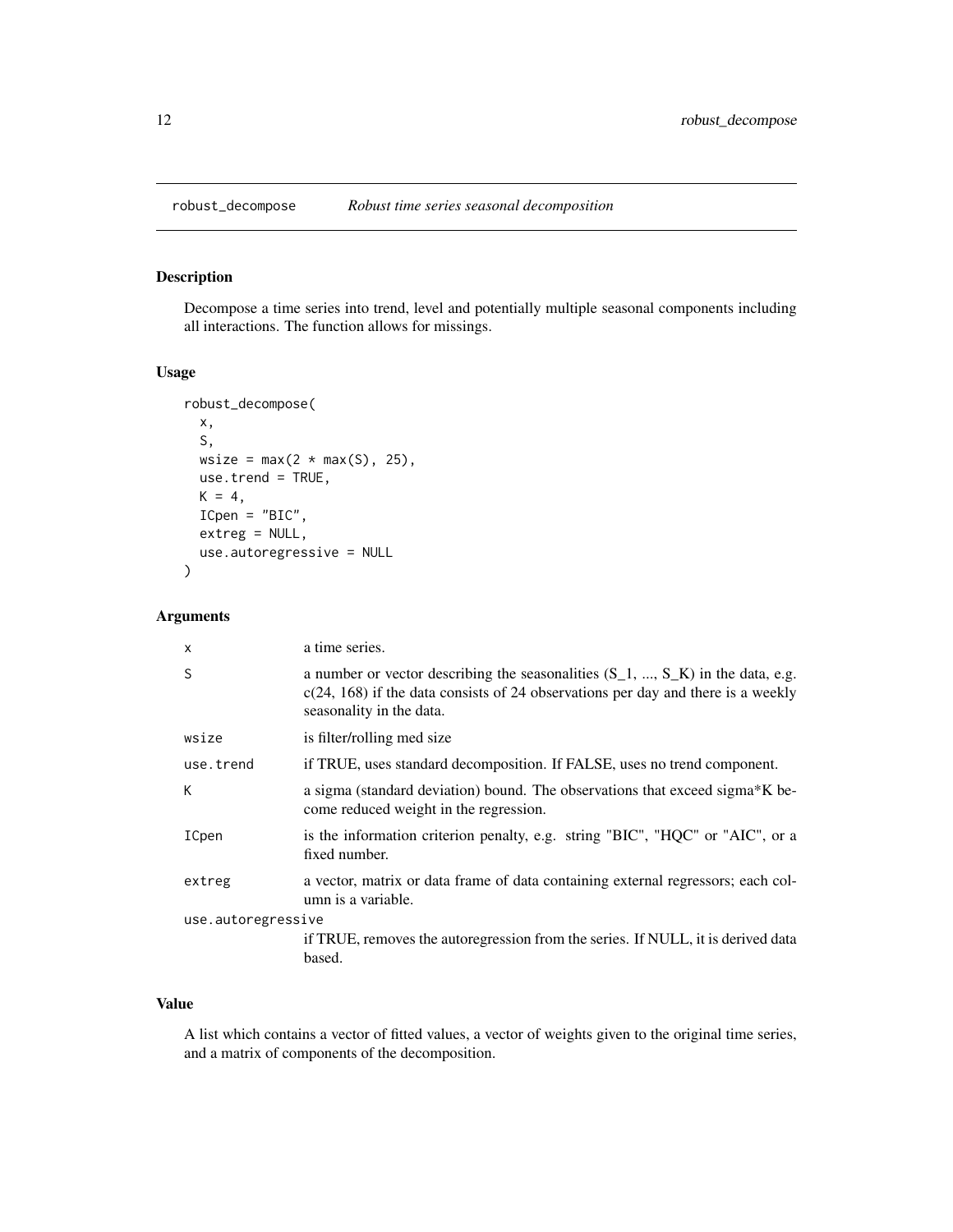<span id="page-11-1"></span><span id="page-11-0"></span>

#### Description

Decompose a time series into trend, level and potentially multiple seasonal components including all interactions. The function allows for missings.

#### Usage

```
robust_decompose(
 x,
 S,
 wsize = max(2 * max(S), 25),
 use.trend = TRUE,
 K = 4,ICpen = "BIC",
 extreg = NULL,
 use.autoregressive = NULL
)
```
# Arguments

| $\mathsf{x}$       | a time series.                                                                                                                                                                                     |
|--------------------|----------------------------------------------------------------------------------------------------------------------------------------------------------------------------------------------------|
| S                  | a number or vector describing the seasonalities $(S_1, , S_K)$ in the data, e.g.<br>$c(24, 168)$ if the data consists of 24 observations per day and there is a weekly<br>seasonality in the data. |
| wsize              | is filter/rolling med size                                                                                                                                                                         |
| use.trend          | if TRUE, uses standard decomposition. If FALSE, uses no trend component.                                                                                                                           |
| К                  | a sigma (standard deviation) bound. The observations that exceed sigma*K be-<br>come reduced weight in the regression.                                                                             |
| ICpen              | is the information criterion penalty, e.g. string "BIC", "HQC" or "AIC", or a<br>fixed number.                                                                                                     |
| extreg             | a vector, matrix or data frame of data containing external regressors; each col-<br>umn is a variable.                                                                                             |
| use.autoregressive |                                                                                                                                                                                                    |
|                    | if TRUE, removes the autoregression from the series. If NULL, it is derived data<br>based.                                                                                                         |

# Value

A list which contains a vector of fitted values, a vector of weights given to the original time series, and a matrix of components of the decomposition.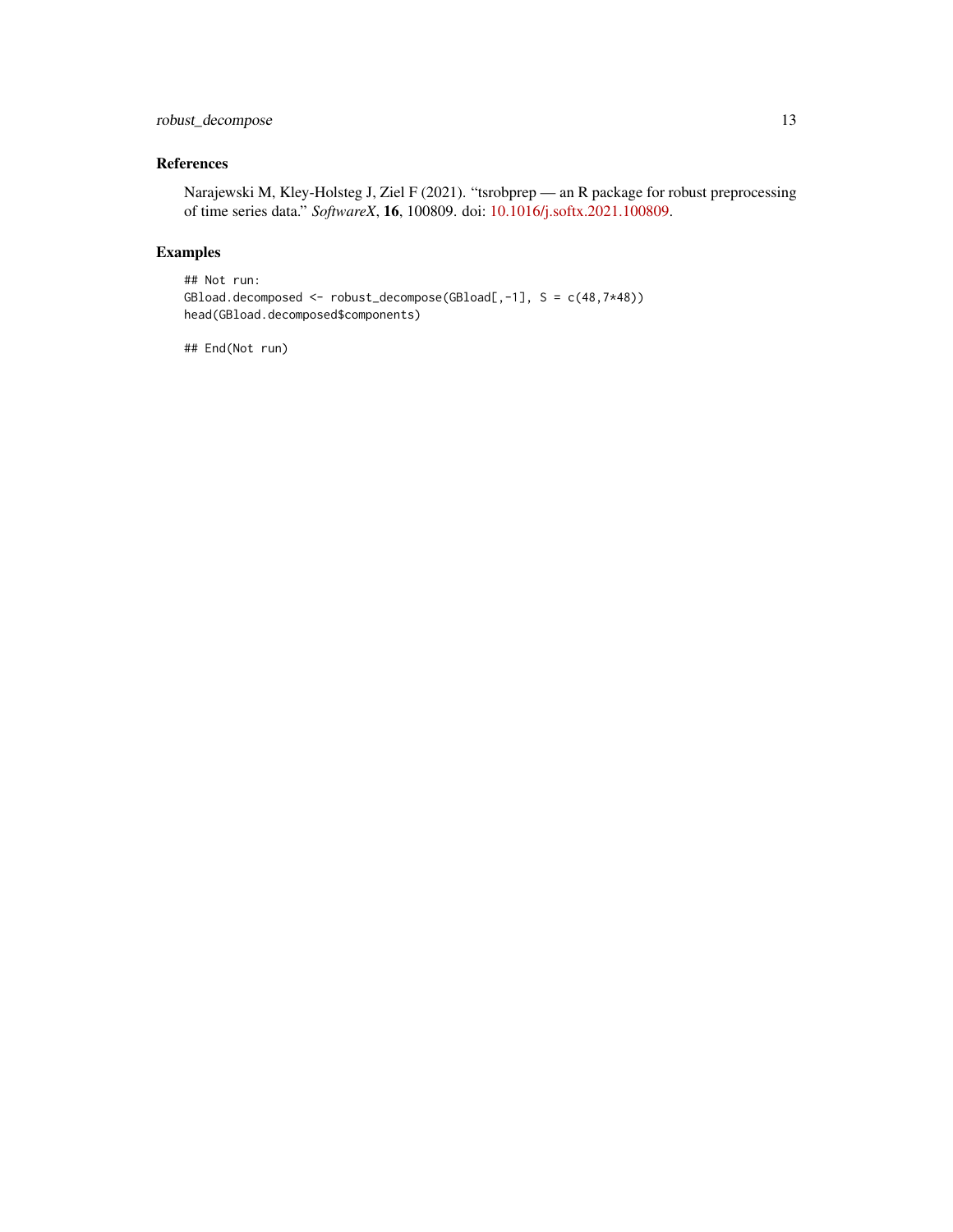# robust\_decompose 13

# References

Narajewski M, Kley-Holsteg J, Ziel F (2021). "tsrobprep — an R package for robust preprocessing of time series data." *SoftwareX*, 16, 100809. doi: [10.1016/j.softx.2021.100809.](https://doi.org/10.1016/j.softx.2021.100809)

# Examples

```
## Not run:
GBload.decomposed <- robust_decompose(GBload[,-1], S = c(48,7*48))
head(GBload.decomposed$components)
```
## End(Not run)